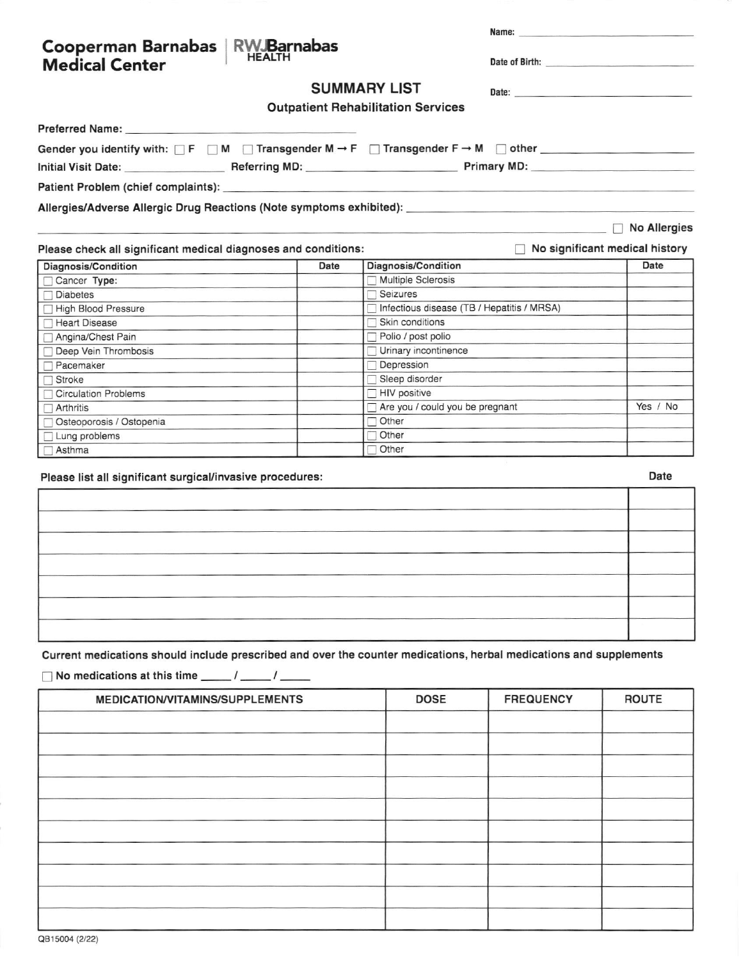| Cooperman Barnabas   RW Barnabas<br><b>Medical Center</b>                                                                                                       |                     |                                           |                                              | Name: Name and the state of the state of the state of the state of the state of the state of the state of the state of the state of the state of the state of the state of the state of the state of the state of the state of<br>Date of Birth: <b>Example 2018</b> |  |  |
|-----------------------------------------------------------------------------------------------------------------------------------------------------------------|---------------------|-------------------------------------------|----------------------------------------------|----------------------------------------------------------------------------------------------------------------------------------------------------------------------------------------------------------------------------------------------------------------------|--|--|
|                                                                                                                                                                 | <b>SUMMARY LIST</b> |                                           |                                              |                                                                                                                                                                                                                                                                      |  |  |
|                                                                                                                                                                 |                     |                                           |                                              |                                                                                                                                                                                                                                                                      |  |  |
|                                                                                                                                                                 |                     | <b>Outpatient Rehabilitation Services</b> |                                              |                                                                                                                                                                                                                                                                      |  |  |
|                                                                                                                                                                 |                     |                                           |                                              |                                                                                                                                                                                                                                                                      |  |  |
| Gender you identify with: $\Box$ F $\Box$ M $\Box$ Transgender M $\rightarrow$ F $\Box$ Transgender F $\rightarrow$ M $\Box$ other $\Box$                       |                     |                                           |                                              |                                                                                                                                                                                                                                                                      |  |  |
|                                                                                                                                                                 |                     |                                           |                                              |                                                                                                                                                                                                                                                                      |  |  |
|                                                                                                                                                                 |                     |                                           |                                              |                                                                                                                                                                                                                                                                      |  |  |
|                                                                                                                                                                 |                     |                                           |                                              |                                                                                                                                                                                                                                                                      |  |  |
| Allergies/Adverse Allergic Drug Reactions (Note symptoms exhibited): _______________________________                                                            |                     |                                           |                                              |                                                                                                                                                                                                                                                                      |  |  |
|                                                                                                                                                                 |                     |                                           |                                              | <b>No Allergies</b>                                                                                                                                                                                                                                                  |  |  |
| Please check all significant medical diagnoses and conditions:                                                                                                  |                     |                                           |                                              | No significant medical history                                                                                                                                                                                                                                       |  |  |
| Diagnosis/Condition                                                                                                                                             | Date                | Diagnosis/Condition                       |                                              | Date                                                                                                                                                                                                                                                                 |  |  |
| Cancer Type:                                                                                                                                                    |                     | Multiple Sclerosis                        |                                              |                                                                                                                                                                                                                                                                      |  |  |
| <b>Diabetes</b>                                                                                                                                                 |                     | $\Box$ Seizures                           |                                              |                                                                                                                                                                                                                                                                      |  |  |
| High Blood Pressure                                                                                                                                             |                     |                                           | □ Infectious disease (TB / Hepatitis / MRSA) |                                                                                                                                                                                                                                                                      |  |  |
| <b>Heart Disease</b>                                                                                                                                            |                     | $\Box$ Skin conditions                    |                                              |                                                                                                                                                                                                                                                                      |  |  |
| Angina/Chest Pain                                                                                                                                               |                     | Polio / post polio                        |                                              |                                                                                                                                                                                                                                                                      |  |  |
| Deep Vein Thrombosis                                                                                                                                            |                     | Urinary incontinence                      |                                              |                                                                                                                                                                                                                                                                      |  |  |
| Pacemaker                                                                                                                                                       |                     | Depression                                |                                              |                                                                                                                                                                                                                                                                      |  |  |
| <b>Stroke</b>                                                                                                                                                   |                     | Sleep disorder                            |                                              |                                                                                                                                                                                                                                                                      |  |  |
| <b>Circulation Problems</b>                                                                                                                                     |                     | HIV positive                              |                                              |                                                                                                                                                                                                                                                                      |  |  |
| Arthritis                                                                                                                                                       |                     | Are you / could you be pregnant           | Yes / No                                     |                                                                                                                                                                                                                                                                      |  |  |
| Osteoporosis / Ostopenia                                                                                                                                        |                     | $\Box$ Other                              |                                              |                                                                                                                                                                                                                                                                      |  |  |
| Lung problems                                                                                                                                                   |                     | $\Box$ Other<br>$\Box$ Other              |                                              |                                                                                                                                                                                                                                                                      |  |  |
| ⊺ Asthma                                                                                                                                                        |                     |                                           |                                              |                                                                                                                                                                                                                                                                      |  |  |
| Please list all significant surgical/invasive procedures:                                                                                                       |                     |                                           |                                              | Date                                                                                                                                                                                                                                                                 |  |  |
|                                                                                                                                                                 |                     |                                           |                                              |                                                                                                                                                                                                                                                                      |  |  |
|                                                                                                                                                                 |                     |                                           |                                              |                                                                                                                                                                                                                                                                      |  |  |
|                                                                                                                                                                 |                     |                                           |                                              |                                                                                                                                                                                                                                                                      |  |  |
|                                                                                                                                                                 |                     |                                           |                                              |                                                                                                                                                                                                                                                                      |  |  |
|                                                                                                                                                                 |                     |                                           |                                              |                                                                                                                                                                                                                                                                      |  |  |
|                                                                                                                                                                 |                     |                                           |                                              |                                                                                                                                                                                                                                                                      |  |  |
|                                                                                                                                                                 |                     |                                           |                                              |                                                                                                                                                                                                                                                                      |  |  |
|                                                                                                                                                                 |                     |                                           |                                              |                                                                                                                                                                                                                                                                      |  |  |
|                                                                                                                                                                 |                     |                                           |                                              |                                                                                                                                                                                                                                                                      |  |  |
|                                                                                                                                                                 |                     |                                           |                                              |                                                                                                                                                                                                                                                                      |  |  |
|                                                                                                                                                                 |                     |                                           |                                              |                                                                                                                                                                                                                                                                      |  |  |
| Current medications should include prescribed and over the counter medications, herbal medications and supplements<br>No medications at this time _____/ _____/ |                     |                                           |                                              |                                                                                                                                                                                                                                                                      |  |  |
| <b>MEDICATION/VITAMINS/SUPPLEMENTS</b>                                                                                                                          |                     | <b>DOSE</b>                               | <b>FREQUENCY</b>                             | <b>ROUTE</b>                                                                                                                                                                                                                                                         |  |  |
|                                                                                                                                                                 |                     |                                           |                                              |                                                                                                                                                                                                                                                                      |  |  |
|                                                                                                                                                                 |                     |                                           |                                              |                                                                                                                                                                                                                                                                      |  |  |
|                                                                                                                                                                 |                     |                                           |                                              |                                                                                                                                                                                                                                                                      |  |  |
|                                                                                                                                                                 |                     |                                           |                                              |                                                                                                                                                                                                                                                                      |  |  |
|                                                                                                                                                                 |                     |                                           |                                              |                                                                                                                                                                                                                                                                      |  |  |